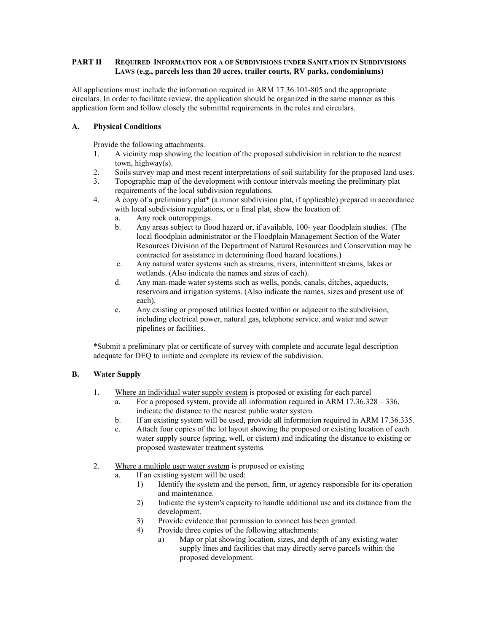### **PART II REQUIRED INFORMATION FOR A OF SUBDIVISIONS UNDER SANITATION IN SUBDIVISIONS LAWS (e.g., parcels less than 20 acres, trailer courts, RV parks, condominiums)**

All applications must include the information required in ARM 17.36.101-805 and the appropriate circulars. In order to facilitate review, the application should be organized in the same manner as this application form and follow closely the submittal requirements in the rules and circulars.

### **A. Physical Conditions**

Provide the following attachments.

- 1. A vicinity map showing the location of the proposed subdivision in relation to the nearest town, highway(s).
- 2. Soils survey map and most recent interpretations of soil suitability for the proposed land uses.
- 3. Topographic map of the development with contour intervals meeting the preliminary plat requirements of the local subdivision regulations.
- 4. A copy of a preliminary plat\* (a minor subdivision plat, if applicable) prepared in accordance with local subdivision regulations, or a final plat, show the location of:
	- a. Any rock outcroppings.
	- b. Any areas subject to flood hazard or, if available, 100- year floodplain studies. (The local floodplain administrator or the Floodplain Management Section of the Water Resources Division of the Department of Natural Resources and Conservation may be contracted for assistance in determining flood hazard locations.)
	- c. Any natural water systems such as streams, rivers, intermittent streams, lakes or wetlands. (Also indicate the names and sizes of each).
	- d. Any man-made water systems such as wells, ponds, canals, ditches, aqueducts, reservoirs and irrigation systems. (Also indicate the names, sizes and present use of each).
	- e. Any existing or proposed utilities located within or adjacent to the subdivision, including electrical power, natural gas, telephone service, and water and sewer pipelines or facilities.

\*Submit a preliminary plat or certificate of survey with complete and accurate legal description adequate for DEQ to initiate and complete its review of the subdivision.

# **B. Water Supply**

- 1. Where an individual water supply system is proposed or existing for each parcel
	- a. For a proposed system, provide all information required in ARM 17.36.328 336, indicate the distance to the nearest public water system.
	- b. If an existing system will be used, provide all information required in ARM 17.36.335.
	- c. Attach four copies of the lot layout showing the proposed or existing location of each water supply source (spring, well, or cistern) and indicating the distance to existing or proposed wastewater treatment systems.
- 2. Where a multiple user water system is proposed or existing
	- a. If an existing system will be used:
		- 1) Identify the system and the person, firm, or agency responsible for its operation and maintenance.
		- 2) Indicate the system's capacity to handle additional use and its distance from the development.
		- 3) Provide evidence that permission to connect has been granted.
		- 4) Provide three copies of the following attachments:
			- a) Map or plat showing location, sizes, and depth of any existing water supply lines and facilities that may directly serve parcels within the proposed development.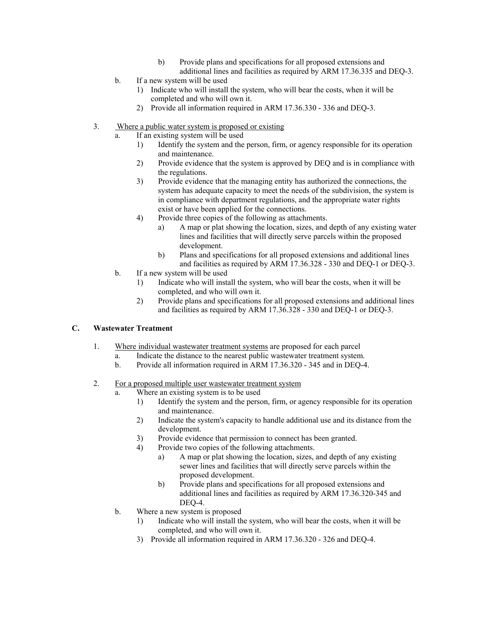- b) Provide plans and specifications for all proposed extensions and additional lines and facilities as required by ARM 17.36.335 and DEQ-3.
- b. If a new system will be used
	- 1) Indicate who will install the system, who will bear the costs, when it will be completed and who will own it.
	- 2) Provide all information required in ARM 17.36.330 336 and DEQ-3.
- 3. Where a public water system is proposed or existing
	- a. If an existing system will be used
		- 1) Identify the system and the person, firm, or agency responsible for its operation and maintenance.
		- 2) Provide evidence that the system is approved by DEQ and is in compliance with the regulations.
		- 3) Provide evidence that the managing entity has authorized the connections, the system has adequate capacity to meet the needs of the subdivision, the system is in compliance with department regulations, and the appropriate water rights exist or have been applied for the connections.
		- 4) Provide three copies of the following as attachments.
			- a) A map or plat showing the location, sizes, and depth of any existing water lines and facilities that will directly serve parcels within the proposed development.
			- b) Plans and specifications for all proposed extensions and additional lines and facilities as required by ARM 17.36.328 - 330 and DEQ-1 or DEQ-3.
	- b. If a new system will be used
		- 1) Indicate who will install the system, who will bear the costs, when it will be completed, and who will own it.
		- 2) Provide plans and specifications for all proposed extensions and additional lines and facilities as required by ARM 17.36.328 - 330 and DEQ-1 or DEQ-3.

# **C. Wastewater Treatment**

- 1. Where individual wastewater treatment systems are proposed for each parcel
	- a. Indicate the distance to the nearest public wastewater treatment system.
	- b. Provide all information required in ARM 17.36.320 345 and in DEQ-4.
- 2. For a proposed multiple user wastewater treatment system
	- a. Where an existing system is to be used
		- 1) Identify the system and the person, firm, or agency responsible for its operation and maintenance.
		- 2) Indicate the system's capacity to handle additional use and its distance from the development.
		- 3) Provide evidence that permission to connect has been granted.
		- 4) Provide two copies of the following attachments.
			- a) A map or plat showing the location, sizes, and depth of any existing sewer lines and facilities that will directly serve parcels within the proposed development.
			- b) Provide plans and specifications for all proposed extensions and additional lines and facilities as required by ARM 17.36.320-345 and DEQ-4.
	- b. Where a new system is proposed
		- 1) Indicate who will install the system, who will bear the costs, when it will be completed, and who will own it.
		- 3) Provide all information required in ARM 17.36.320 326 and DEQ-4.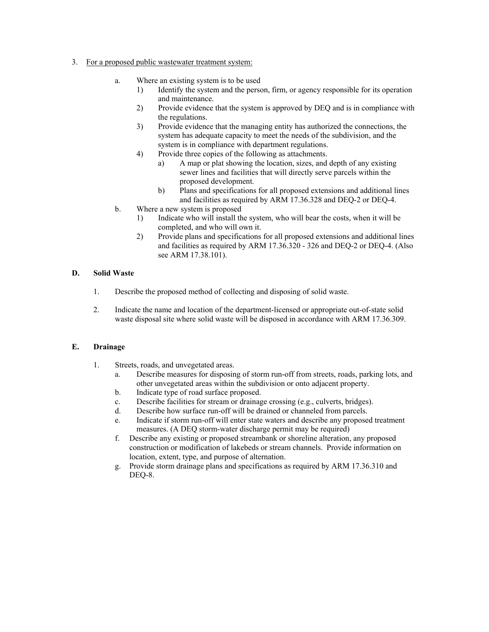- 3. For a proposed public wastewater treatment system:
	- a. Where an existing system is to be used
		- 1) Identify the system and the person, firm, or agency responsible for its operation and maintenance.
		- 2) Provide evidence that the system is approved by DEQ and is in compliance with the regulations.
		- 3) Provide evidence that the managing entity has authorized the connections, the system has adequate capacity to meet the needs of the subdivision, and the system is in compliance with department regulations.
		- 4) Provide three copies of the following as attachments.
			- a) A map or plat showing the location, sizes, and depth of any existing sewer lines and facilities that will directly serve parcels within the proposed development.
				- b) Plans and specifications for all proposed extensions and additional lines and facilities as required by ARM 17.36.328 and DEQ-2 or DEQ-4.
	- b. Where a new system is proposed
		- 1) Indicate who will install the system, who will bear the costs, when it will be completed, and who will own it.
		- 2) Provide plans and specifications for all proposed extensions and additional lines and facilities as required by ARM 17.36.320 - 326 and DEQ-2 or DEQ-4. (Also see ARM 17.38.101).

### **D. Solid Waste**

- 1. Describe the proposed method of collecting and disposing of solid waste.
- 2. Indicate the name and location of the department-licensed or appropriate out-of-state solid waste disposal site where solid waste will be disposed in accordance with ARM 17.36.309.

### **E. Drainage**

- 1. Streets, roads, and unvegetated areas.
	- a. Describe measures for disposing of storm run-off from streets, roads, parking lots, and other unvegetated areas within the subdivision or onto adjacent property.
	- b. Indicate type of road surface proposed.
	- c. Describe facilities for stream or drainage crossing (e.g., culverts, bridges).
	- d. Describe how surface run-off will be drained or channeled from parcels.
	- e. Indicate if storm run-off will enter state waters and describe any proposed treatment measures. (A DEQ storm-water discharge permit may be required)
	- f. Describe any existing or proposed streambank or shoreline alteration, any proposed construction or modification of lakebeds or stream channels. Provide information on location, extent, type, and purpose of alternation.
	- g. Provide storm drainage plans and specifications as required by ARM 17.36.310 and DEQ-8.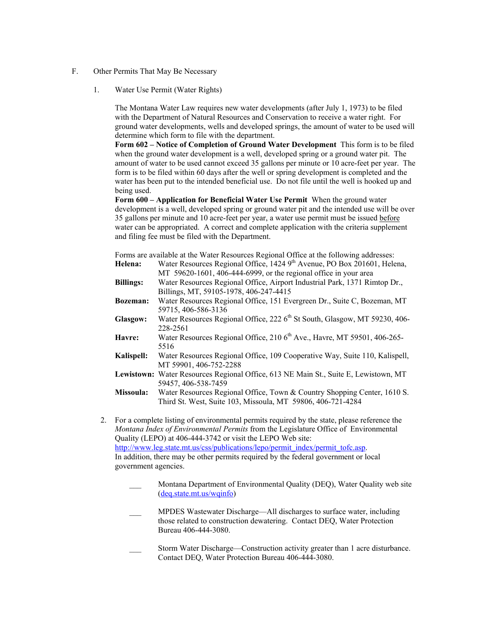- F. Other Permits That May Be Necessary
	- 1. Water Use Permit (Water Rights)

The Montana Water Law requires new water developments (after July 1, 1973) to be filed with the Department of Natural Resources and Conservation to receive a water right. For ground water developments, wells and developed springs, the amount of water to be used will determine which form to file with the department.

**Form 602 – Notice of Completion of Ground Water Development** This form is to be filed when the ground water development is a well, developed spring or a ground water pit. The amount of water to be used cannot exceed 35 gallons per minute or 10 acre-feet per year. The form is to be filed within 60 days after the well or spring development is completed and the water has been put to the intended beneficial use. Do not file until the well is hooked up and being used.

**Form 600 – Application for Beneficial Water Use Permit** When the ground water development is a well, developed spring or ground water pit and the intended use will be over 35 gallons per minute and 10 acre-feet per year, a water use permit must be issued before water can be appropriated. A correct and complete application with the criteria supplement and filing fee must be filed with the Department.

Forms are available at the Water Resources Regional Office at the following addresses:

- Helena: Water Resources Regional Office, 1424 9<sup>th</sup> Avenue, PO Box 201601, Helena, MT 59620-1601, 406-444-6999, or the regional office in your area
- **Billings:** Water Resources Regional Office, Airport Industrial Park, 1371 Rimtop Dr., Billings, MT, 59105-1978, 406-247-4415
- **Bozeman:** Water Resources Regional Office, 151 Evergreen Dr., Suite C, Bozeman, MT 59715, 406-586-3136
- Glasgow: Water Resources Regional Office, 222 6<sup>th</sup> St South, Glasgow, MT 59230, 406-228-2561
- Havre: Water Resources Regional Office, 210 6<sup>th</sup> Ave., Havre, MT 59501, 406-265-5516
- **Kalispell:** Water Resources Regional Office, 109 Cooperative Way, Suite 110, Kalispell, MT 59901, 406-752-2288
- **Lewistown:** Water Resources Regional Office, 613 NE Main St., Suite E, Lewistown, MT 59457, 406-538-7459
- **Missoula:** Water Resources Regional Office, Town & Country Shopping Center, 1610 S. Third St. West, Suite 103, Missoula, MT 59806, 406-721-4284
- 2. For a complete listing of environmental permits required by the state, please reference the *Montana Index of Environmental Permits* from the Legislature Office of Environmental Quality (LEPO) at 406-444-3742 or visit the LEPO Web site: [http://www.leg.state.mt.us/css/publications/lepo/permit\\_index/permit\\_tofc.asp.](http://www.leg.state.mt.us/css/publications/lepo/permit_index/permit_tofc.asp) In addition, there may be other permits required by the federal government or local government agencies.
	- Montana Department of Environmental Quality (DEQ), Water Quality web site [\(deq.state.mt.us/wqinfo](http://www.deq.state.mt.us/))
	- \_\_\_ MPDES Wastewater Discharge—All discharges to surface water, including those related to construction dewatering. Contact DEQ, Water Protection Bureau 406-444-3080.
	- Storm Water Discharge—Construction activity greater than 1 acre disturbance. Contact DEQ, Water Protection Bureau 406-444-3080.